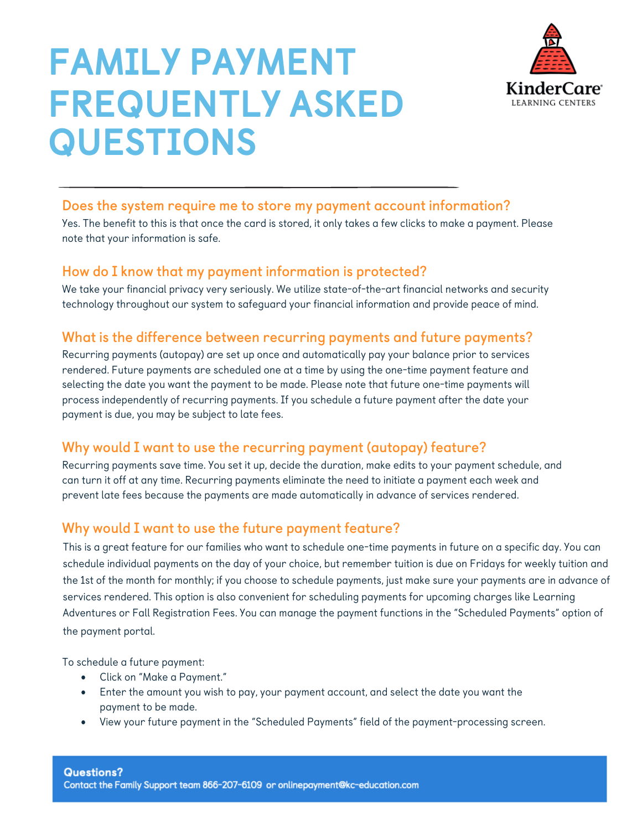

# FAMILY PAYMENT FREQUENTLY ASKED QUESTIONS

### **Does the system require me to store my payment account information?**

Yes. The benefit to this is that once the card is stored, it only takes a few clicks to make a payment. Please note that your information is safe.

### **How do I know that my payment information is protected?**

We take your financial privacy very seriously. We utilize state-of-the-art financial networks and security technology throughout our system to safeguard your financial information and provide peace of mind.

### **What is the difference between recurring payments and future payments?**

Recurring payments (autopay) are set up once and automatically pay your balance prior to services rendered. Future payments are scheduled one at a time by using the one-time payment feature and selecting the date you want the payment to be made. Please note that future one-time payments will process independently of recurring payments. If you schedule a future payment after the date your payment is due, you may be subject to late fees.

### **Why would I want to use the recurring payment (autopay) feature?**

Recurring payments save time. You set it up, decide the duration, make edits to your payment schedule, and can turn it off at any time. Recurring payments eliminate the need to initiate a payment each week and prevent late fees because the payments are made automatically in advance of services rendered.

### **Why would I want to use the future payment feature?**

This is a great feature for our families who want to schedule one-time payments in future on a specific day. You can schedule individual payments on the day of your choice, but remember tuition is due on Fridays for weekly tuition and the 1st of the month for monthly; if you choose to schedule payments, just make sure your payments are in advance of services rendered. This option is also convenient for scheduling payments for upcoming charges like Learning Adventures or Fall Registration Fees. You can manage the payment functions in the "Scheduled Payments" option of the payment portal.

To schedule a future payment:

- Click on "Make a Payment."
- Enter the amount you wish to pay, your payment account, and select the date you want the payment to be made.
- View your future payment in the "Scheduled Payments" field of the payment-processing screen.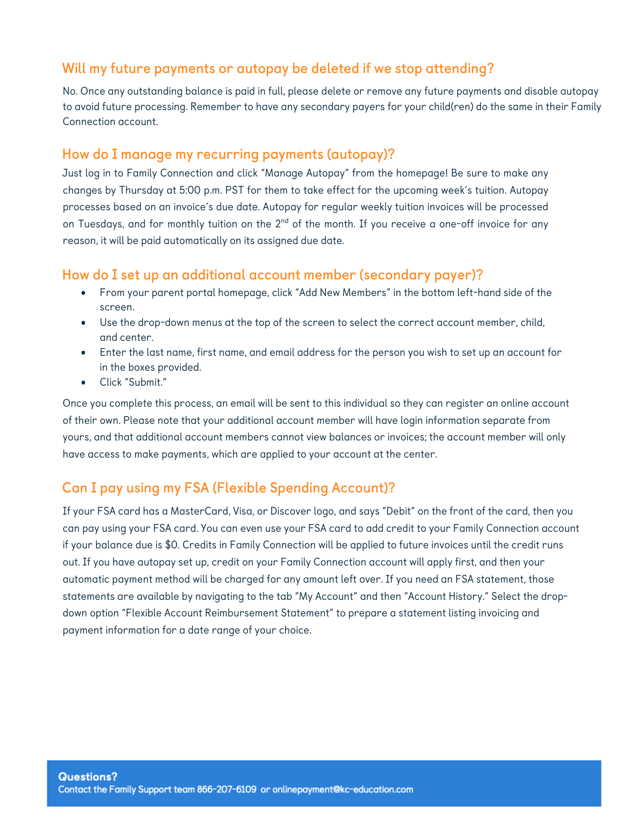### **Will my future payments or autopay be deleted if we stop attending?**

No. Once any outstanding balance is paid in full, please delete or remove any future payments and disable autopay to avoid future processing. Remember to have any secondary payers for your child(ren) do the same in their Family Connection account.

#### **How do I manage my recurring payments (autopay)?**

Just log in to Family Connection and click "Manage Autopay" from the homepage! Be sure to make any changes by Thursday at 5:00 p.m. PST for them to take effect for the upcoming week's tuition. Autopay processes based on an invoice's due date. Autopay for regular weekly tuition invoices will be processed on Tuesdays, and for monthly tuition on the 2<sup>nd</sup> of the month. If you receive a one-off invoice for any reason, it will be paid automatically on its assigned due date.

### **How do I set up an additional account member (secondary payer)?**

- From your parent portal homepage, click "Add New Members" in the bottom left-hand side of the screen.
- Use the drop-down menus at the top of the screen to select the correct account member, child, and center.
- Enter the last name, first name, and email address for the person you wish to set up an account for in the boxes provided.
- Click "Submit."

Once you complete this process, an email will be sent to this individual so they can register an online account of their own. Please note that your additional account member will have login information separate from yours, and that additional account members cannot view balances or invoices; the account member will only have access to make payments, which are applied to your account at the center.

### **Can I pay using my FSA (Flexible Spending Account)?**

If your FSA card has a MasterCard, Visa, or Discover logo, and says "Debit" on the front of the card, then you can pay using your FSA card. You can even use your FSA card to add credit to your Family Connection account if your balance due is \$0. Credits in Family Connection will be applied to future invoices until the credit runs out. If you have autopay set up, credit on your Family Connection account will apply first, and then your automatic payment method will be charged for any amount left over. If you need an FSA statement, those statements are available by navigating to the tab "My Account" and then "Account History." Select the dropdown option "Flexible Account Reimbursement Statement" to prepare a statement listing invoicing and payment information for a date range of your choice.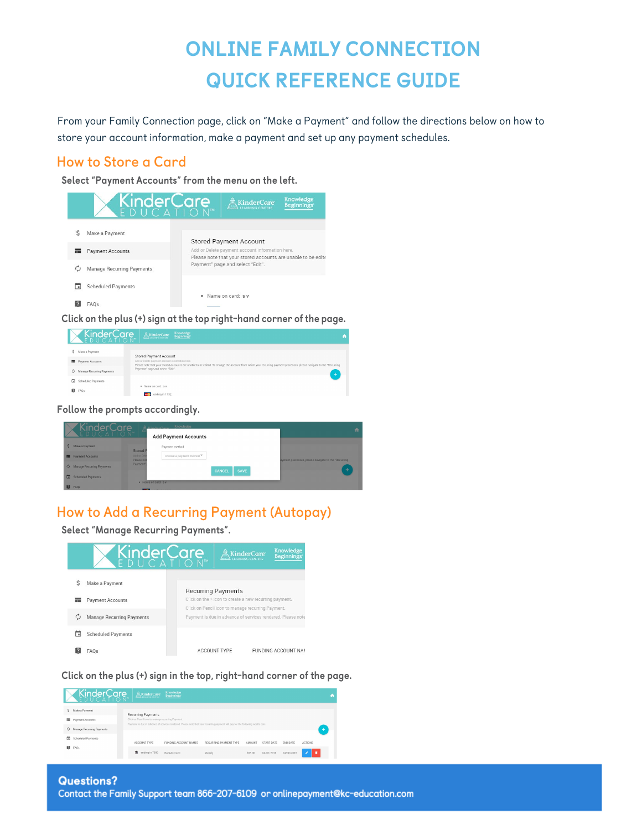## ONLINE FAMILY CONNECTION QUICK REFERENCE GUIDE

From your Family Connection page, click on "Make a Payment" and follow the directions below on how to store your account information, make a payment and set up any payment schedules.

### **How to Store a Card**

Select "Payment Accounts" from the menu on the left.



Click on the plus (+) sign at the top right-hand corner of the page.

|    | KinderCare AkinderCare     | Knowledge<br>Beginnings                                                                                                                                                                                                | m |
|----|----------------------------|------------------------------------------------------------------------------------------------------------------------------------------------------------------------------------------------------------------------|---|
| Ś  | Make a Payment             | Stored Payment Account                                                                                                                                                                                                 |   |
|    | <b>Em</b> Payment Accounts | Add or Delete payment account information here.<br>Please note that your stored accounts are unable to be edited. To change the account from which your recurring payment processes, please navigate to the "Recurring |   |
|    | Manage Recurring Payments  | Payment" page and select "Edit".                                                                                                                                                                                       |   |
| m  | Scheduled Payments         | · Name on card: s.v.                                                                                                                                                                                                   |   |
| 12 | FAQs                       | ending in 1732                                                                                                                                                                                                         |   |

Follow the prompts accordingly.

|              | KinderCare                |                          | Knowledge<br><i>VindovCorn</i> |                              |                                                     | ٠ |
|--------------|---------------------------|--------------------------|--------------------------------|------------------------------|-----------------------------------------------------|---|
|              |                           |                          | <b>Add Payment Accounts</b>    |                              |                                                     |   |
| S.           | Make a Payment            | Stored F                 | Payment method                 |                              |                                                     |   |
| œ            | <b>Payment Accounts</b>   | Add or Del<br>Please not | Choose a payment method ¥      |                              | ayment processes, please navigate to the "Recurring |   |
| $\mathbb{C}$ | Manage Recurring Payments | Payment"                 |                                | <b>CANCEL</b><br><b>SAVE</b> | ÷                                                   |   |
| o            | <b>Scheduled Payments</b> |                          |                                |                              |                                                     |   |
|              | <b>FAOs</b>               |                          | . Name on card: s v            |                              |                                                     |   |

### **How to Add a Recurring Payment (Autopay)**

Select "Manage Recurring Payments".

| KinderCare                       | $\overline{\mathbb{R}}$ KinderCare                     | LEARNING CENTERS | Knowledge<br><b>Beginnings</b>                              |
|----------------------------------|--------------------------------------------------------|------------------|-------------------------------------------------------------|
| Make a Payment                   | <b>Recurring Payments</b>                              |                  |                                                             |
| <b>Payment Accounts</b>          | Click on the + icon to create a new recurring payment. |                  |                                                             |
| <b>Manage Recurring Payments</b> | Click on Pencil icon to manage recurring Payment.      |                  | Payment is due in advance of services rendered. Please note |
| <b>Scheduled Payments</b>        |                                                        |                  |                                                             |
| FAOs                             | <b>ACCOUNT TYPE</b>                                    |                  | FUNDING ACCOUNT NAM                                         |

Click on the plus (+) sign in the top, right-hand corner of the page.

|          | KinderCare                | $\sum_{\text{ttausess constant}}$                 | Knowledge<br>Beginnings |                                                                                                                                |               |            |            | ٠.             |
|----------|---------------------------|---------------------------------------------------|-------------------------|--------------------------------------------------------------------------------------------------------------------------------|---------------|------------|------------|----------------|
| Ś.       | Make a Payment            | <b>Recurring Payments</b>                         |                         |                                                                                                                                |               |            |            |                |
| 龗        | Payment Accounts          | Click on Pencil icon to manage recurring Payment. |                         | Payment is due in advance of services rendered. Please note that your recurring payment will pay for the following week's care |               |            |            |                |
| ¢.       | Manage Recurring Payments |                                                   |                         |                                                                                                                                |               |            |            | $+$            |
| m        | Scheduled Payments        | ACCOUNT TYPE                                      | FUNDING ACCOUNT NAMES   | RECURRING PAYMENT TYPE                                                                                                         | <b>AMOUNT</b> | START DATE | END DATE   | <b>ACTIONS</b> |
| <b>图</b> | FAQs                      | $\frac{4}{111}$ ending in 7890                    | BankAccount             | Weekly                                                                                                                         | \$95.00       | 04/01/2016 | 04/08/2016 | ٠              |
|          |                           |                                                   |                         |                                                                                                                                |               |            |            |                |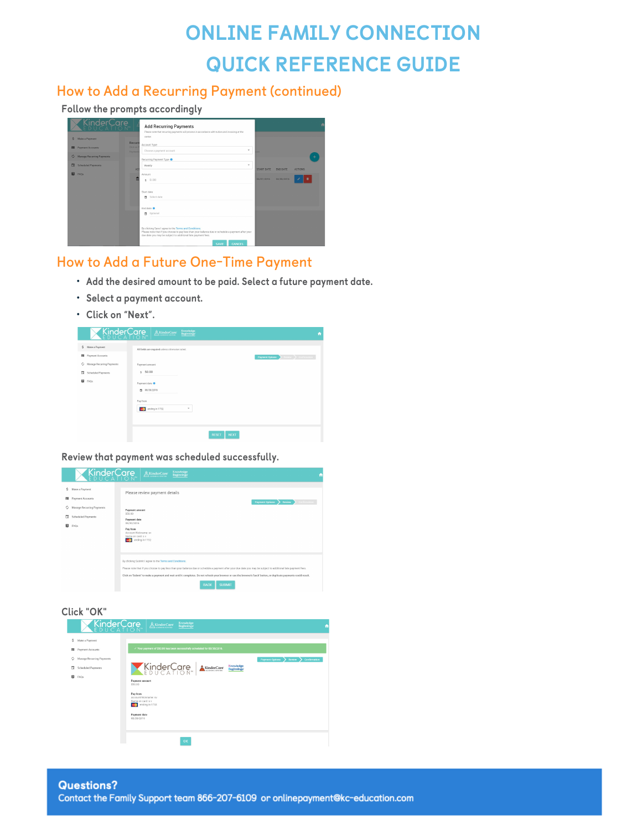### ONLINE FAMILY CONNECTION QUICK REFERENCE GUIDE

### **How to Add a Recurring Payment (continued)**

#### Follow the prompts accordingly

| KinderCare                                                                                                                                  | <b>Add Recurring Payments</b>                                                                                                                                                                                                                                                                                                                        |                                        |                               | ñ              |
|---------------------------------------------------------------------------------------------------------------------------------------------|------------------------------------------------------------------------------------------------------------------------------------------------------------------------------------------------------------------------------------------------------------------------------------------------------------------------------------------------------|----------------------------------------|-------------------------------|----------------|
| S Make a Payment<br><b>E Payment Accounts</b><br>C Manage Recurring Payments<br><b>Scheduled Payments</b><br>$\Box$<br>$\mathbf{E}$<br>FAQs | Please note that recurring payments will process in accordance with tuition and invoicing at the<br>center.<br>Recurr<br>Account Type<br><b>Click on</b><br>$\overline{\phantom{a}}$<br>Choose a payment account<br>Paymere<br>Recurring Payment Type<br>$\mathbf{v}$<br>Weekly<br>AD<br>Amount<br>盃<br>0.00<br>s.<br>Start date<br>Select date<br>n | 316<br><b>START DATE</b><br>04/01/2016 | <b>END DATE</b><br>04/08/2016 | <b>ACTIONS</b> |
|                                                                                                                                             | End date <sup>O</sup><br>Optional<br>n.<br>By clicking Save I agree to the Terms and Conditions.<br>Please note that if you choose to pay less than your balance due or schedule a payment after your<br>due date you may be subject to additional late payment fees.<br>CANCEL<br>SAVE                                                              |                                        |                               |                |

### **How to Add a Future One-Time Payment**

- Add the desired amount to be paid. Select a future payment date.
- Select a payment account.
- Click on "Next".



Review that payment was scheduled successfully.



Click "OK"